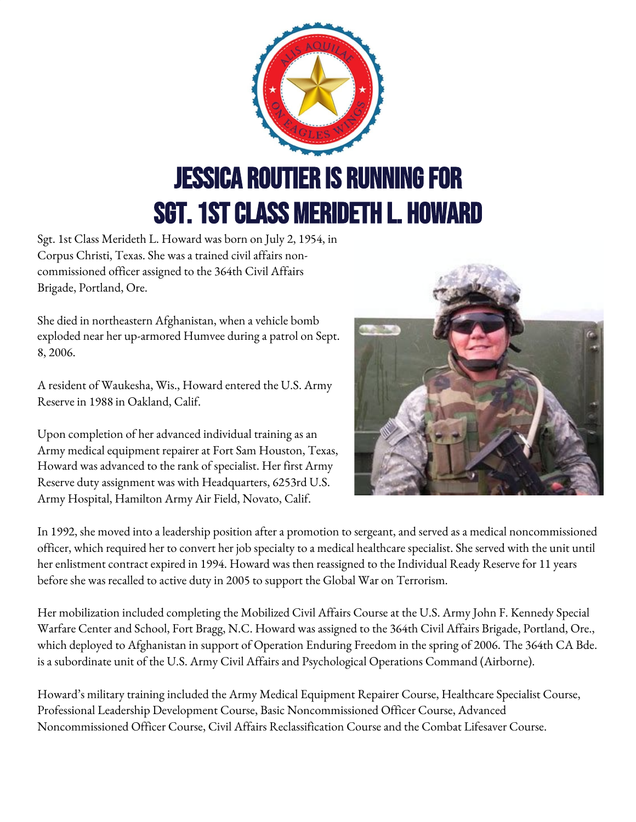**JESSICA ROUTIER IS RUNNING FOR** SGT. 1ST CLASS MERIDETH L. HOWARD

Sgt. 1st Class Merideth L. Howard was born on July 2, 1954, in Corpus Christi, Texas. She was a trained civil affairs noncommissioned officer assigned to the 364th Civil Affairs Brigade, Portland, Ore.

She died in northeastern Afghanistan, when a vehicle bomb exploded near her up-armored Humvee during a patrol on Sept. 8, 2006.

A resident of Waukesha, Wis., Howard entered the U.S. Army Reserve in 1988 in Oakland, Calif.

Upon completion of her advanced individual training as an Army medical equipment repairer at Fort Sam Houston, Texas, Howard was advanced to the rank of specialist. Her first Army Reserve duty assignment was with Headquarters, 6253rd U.S. Army Hospital, Hamilton Army Air Field, Novato, Calif.



In 1992, she moved into a leadership position after a promotion to sergeant, and served as a medical noncommissioned officer, which required her to convert her job specialty to a medical healthcare specialist. She served with the unit until her enlistment contract expired in 1994. Howard was then reassigned to the Individual Ready Reserve for 11 years before she was recalled to active duty in 2005 to support the Global War on Terrorism.

Her mobilization included completing the Mobilized Civil Affairs Course at the U.S. Army John F. Kennedy Special Warfare Center and School, Fort Bragg, N.C. Howard was assigned to the 364th Civil Affairs Brigade, Portland, Ore., which deployed to Afghanistan in support of Operation Enduring Freedom in the spring of 2006. The 364th CA Bde. is a subordinate unit of the U.S. Army Civil Affairs and Psychological Operations Command (Airborne).

Howard's military training included the Army Medical Equipment Repairer Course, Healthcare Specialist Course, Professional Leadership Development Course, Basic Noncommissioned Officer Course, Advanced Noncommissioned Officer Course, Civil Affairs Reclassification Course and the Combat Lifesaver Course.